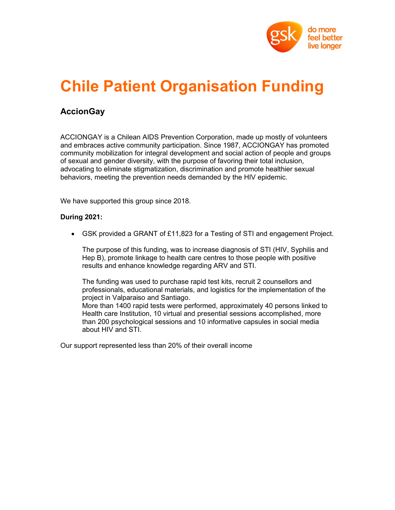

# Chile Patient Organisation Funding

### AccionGay

ACCIONGAY is a Chilean AIDS Prevention Corporation, made up mostly of volunteers and embraces active community participation. Since 1987, ACCIONGAY has promoted community mobilization for integral development and social action of people and groups of sexual and gender diversity, with the purpose of favoring their total inclusion, advocating to eliminate stigmatization, discrimination and promote healthier sexual behaviors, meeting the prevention needs demanded by the HIV epidemic.

We have supported this group since 2018.

#### During 2021:

GSK provided a GRANT of £11,823 for a Testing of STI and engagement Project.

The purpose of this funding, was to increase diagnosis of STI (HIV, Syphilis and Hep B), promote linkage to health care centres to those people with positive results and enhance knowledge regarding ARV and STI.

The funding was used to purchase rapid test kits, recruit 2 counsellors and professionals, educational materials, and logistics for the implementation of the project in Valparaiso and Santiago.

More than 1400 rapid tests were performed, approximately 40 persons linked to Health care Institution, 10 virtual and presential sessions accomplished, more than 200 psychological sessions and 10 informative capsules in social media about HIV and STI.

Our support represented less than 20% of their overall income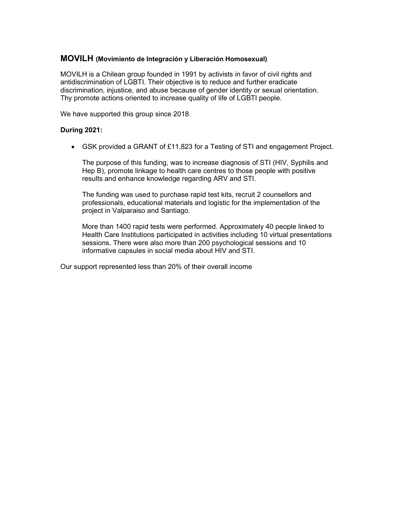#### MOVILH (Movimiento de Integración y Liberación Homosexual)

MOVILH is a Chilean group founded in 1991 by activists in favor of civil rights and antidiscrimination of LGBTI. Their objective is to reduce and further eradicate discrimination, injustice, and abuse because of gender identity or sexual orientation. Thy promote actions oriented to increase quality of life of LGBTI people.

We have supported this group since 2018.

#### During 2021:

GSK provided a GRANT of £11,823 for a Testing of STI and engagement Project.

The purpose of this funding, was to increase diagnosis of STI (HIV, Syphilis and Hep B), promote linkage to health care centres to those people with positive results and enhance knowledge regarding ARV and STI.

The funding was used to purchase rapid test kits, recruit 2 counsellors and professionals, educational materials and logistic for the implementation of the project in Valparaiso and Santiago.

More than 1400 rapid tests were performed. Approximately 40 people linked to Health Care Institutions participated in activities including 10 virtual presentations sessions. There were also more than 200 psychological sessions and 10 informative capsules in social media about HIV and STI.

Our support represented less than 20% of their overall income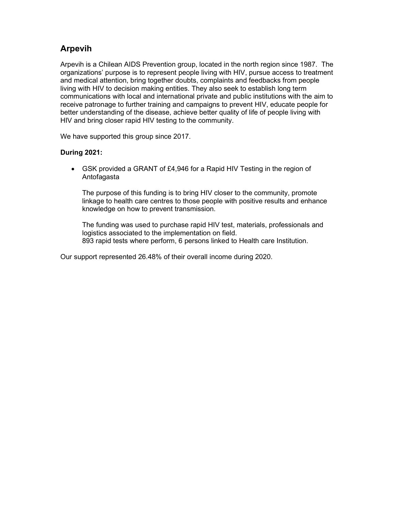# Arpevih

Arpevih is a Chilean AIDS Prevention group, located in the north region since 1987. The organizations' purpose is to represent people living with HIV, pursue access to treatment and medical attention, bring together doubts, complaints and feedbacks from people living with HIV to decision making entities. They also seek to establish long term communications with local and international private and public institutions with the aim to receive patronage to further training and campaigns to prevent HIV, educate people for better understanding of the disease, achieve better quality of life of people living with HIV and bring closer rapid HIV testing to the community.

We have supported this group since 2017.

#### During 2021:

 GSK provided a GRANT of £4,946 for a Rapid HIV Testing in the region of Antofagasta

The purpose of this funding is to bring HIV closer to the community, promote linkage to health care centres to those people with positive results and enhance knowledge on how to prevent transmission.

The funding was used to purchase rapid HIV test, materials, professionals and logistics associated to the implementation on field. 893 rapid tests where perform, 6 persons linked to Health care Institution.

Our support represented 26.48% of their overall income during 2020.